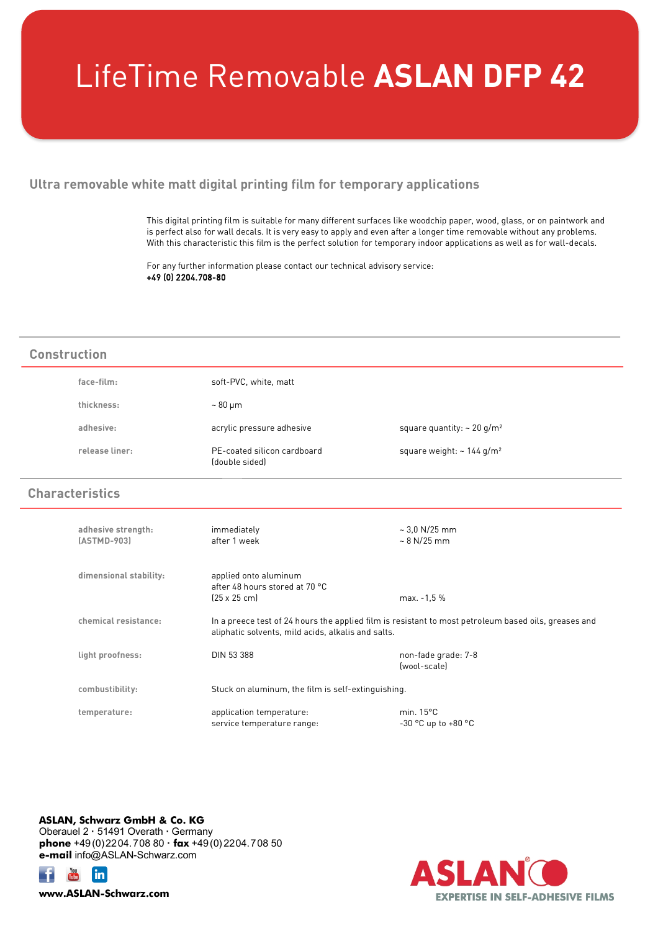## LifeTime Removable **ASLAN DFP 42**

## **Ultra removable white matt digital printing film for temporary applications**

This digital printing film is suitable for many different surfaces like woodchip paper, wood, glass, or on paintwork and is perfect also for wall decals. It is very easy to apply and even after a longer time removable without any problems. With this characteristic this film is the perfect solution for temporary indoor applications as well as for wall-decals.

For any further information please contact our technical advisory service: +49 (0) 2204.708-80

## face-film: soft-PVC, white, matt **thickness:** ~ 80 μm adhesive: acrylic pressure adhesive square quantity: ~ 20 g/m<sup>2</sup> release liner: **PE-coated silicon cardboard** square weight: ~ 144 g/m<sup>2</sup> (double sided) **adhesive strength:** immediately ~ 3,0 N/25 mm **(ASTMD-903)** after 1 week ~ 8 N/25 mm **dimensional stability:** applied onto aluminum after 48 hours stored at 70 °C (25 x 25 cm) max. -1,5 % **chemical resistance:** In a preece test of 24 hours the applied film is resistant to most petroleum based oils, greases and aliphatic solvents, mild acids, alkalis and salts. **light proofness:** DIN 53 388 non-fade grade: 7-8 (wool-scale) **combustibility:** Stuck on aluminum, the film is self-extinguishing. **temperature:** application temperature: min. 15°C service temperature range:  $-30^{\circ}$ C up to +80 °C **Construction Characteristics**

**ASLAN, Schwarz GmbH & Co. KG** Oberauel 2 **·** 51491 Overath **·** Germany **phone** +49(0)2204.708 80 **· fax** +49(0) 2204.708 50 **e-mail** info@ASLAN-Schwarz.com





**www.ASLAN-Schwarz.com**